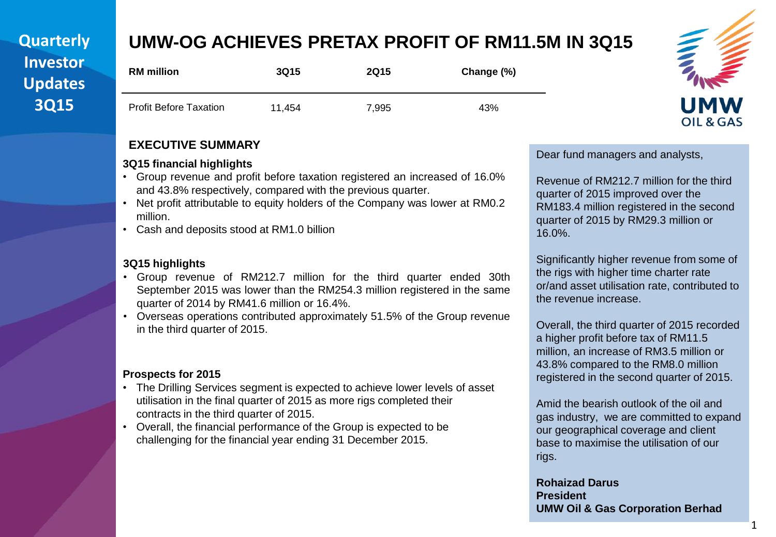### **Quarterly Investor Updates 3Q15**

# **UMW-OG ACHIEVES PRETAX PROFIT OF RM11.5M IN 3Q15**

| <b>RM</b> million             | <b>3Q15</b> | <b>2Q15</b> | Change (%) |
|-------------------------------|-------------|-------------|------------|
| <b>Profit Before Taxation</b> | 11.454      | 7,995       | 43%        |

#### **EXECUTIVE SUMMARY**

#### **3Q15 financial highlights**

- Group revenue and profit before taxation registered an increased of 16.0% and 43.8% respectively, compared with the previous quarter.
- Net profit attributable to equity holders of the Company was lower at RM0.2 million.
- Cash and deposits stood at RM1.0 billion

#### **3Q15 highlights**

- Group revenue of RM212.7 million for the third quarter ended 30th September 2015 was lower than the RM254.3 million registered in the same quarter of 2014 by RM41.6 million or 16.4%.
- Overseas operations contributed approximately 51.5% of the Group revenue in the third quarter of 2015.

#### **Prospects for 2015**

- The Drilling Services segment is expected to achieve lower levels of asset utilisation in the final quarter of 2015 as more rigs completed their contracts in the third quarter of 2015.
- Overall, the financial performance of the Group is expected to be challenging for the financial year ending 31 December 2015.

Dear fund managers and analysts,

Revenue of RM212.7 million for the third quarter of 2015 improved over the RM183.4 million registered in the second quarter of 2015 by RM29.3 million or 16.0%.

Significantly higher revenue from some of the rigs with higher time charter rate or/and asset utilisation rate, contributed to the revenue increase.

Overall, the third quarter of 2015 recorded a higher profit before tax of RM11.5 million, an increase of RM3.5 million or 43.8% compared to the RM8.0 million registered in the second quarter of 2015.

Amid the bearish outlook of the oil and gas industry, we are committed to expand our geographical coverage and client base to maximise the utilisation of our rigs.

**Rohaizad Darus President UMW Oil & Gas Corporation Berhad**

# OIL & GAS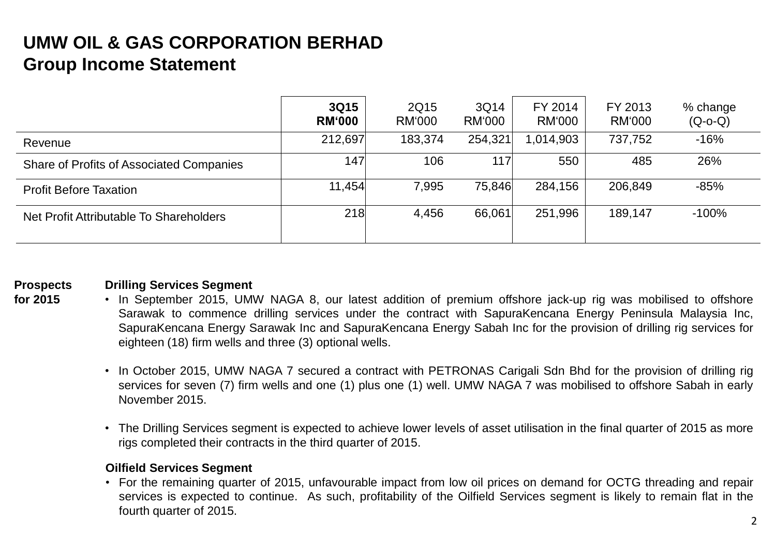# **UMW OIL & GAS CORPORATION BERHAD Group Income Statement**

|                                          | 3Q15<br><b>RM</b> '000 | 2Q15<br>RM'000 | 3Q14<br>RM'000 | FY 2014<br>RM'000 | FY 2013<br>RM'000 | % change<br>$(Q-O-C)$ |
|------------------------------------------|------------------------|----------------|----------------|-------------------|-------------------|-----------------------|
| Revenue                                  | 212,697                | 183,374        | 254,321        | 1,014,903         | 737,752           | $-16%$                |
| Share of Profits of Associated Companies | 147                    | 106            | 117            | 550               | 485               | 26%                   |
| <b>Profit Before Taxation</b>            | 11,454                 | 7,995          | 75,846         | 284,156           | 206,849           | $-85%$                |
| Net Profit Attributable To Shareholders  | 218                    | 4,456          | 66,061         | 251,996           | 189,147           | $-100%$               |
|                                          |                        |                |                |                   |                   |                       |

#### **Prospects Drilling Services Segment**

- **for 2015** • In September 2015, UMW NAGA 8, our latest addition of premium offshore jack-up rig was mobilised to offshore Sarawak to commence drilling services under the contract with SapuraKencana Energy Peninsula Malaysia Inc, SapuraKencana Energy Sarawak Inc and SapuraKencana Energy Sabah Inc for the provision of drilling rig services for eighteen (18) firm wells and three (3) optional wells.
	- In October 2015, UMW NAGA 7 secured a contract with PETRONAS Carigali Sdn Bhd for the provision of drilling rig services for seven (7) firm wells and one (1) plus one (1) well. UMW NAGA 7 was mobilised to offshore Sabah in early November 2015.
	- The Drilling Services segment is expected to achieve lower levels of asset utilisation in the final quarter of 2015 as more rigs completed their contracts in the third quarter of 2015.

#### **Oilfield Services Segment**

• For the remaining quarter of 2015, unfavourable impact from low oil prices on demand for OCTG threading and repair services is expected to continue. As such, profitability of the Oilfield Services segment is likely to remain flat in the fourth quarter of 2015.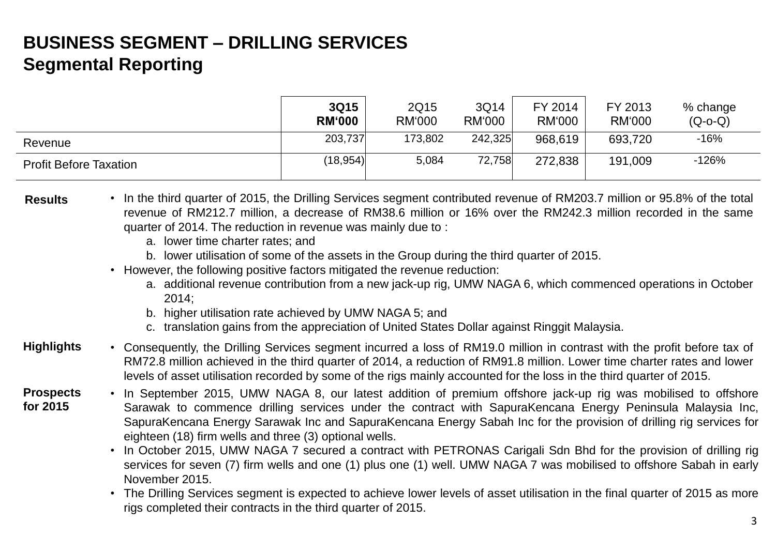# **BUSINESS SEGMENT – DRILLING SERVICES Segmental Reporting**

|                               | 3Q15<br><b>RM</b> '000 | 2Q15<br><b>RM'000</b> | 3Q14<br><b>RM'000</b> | FY 2014<br>RM'000 | FY 2013<br><b>RM'000</b> | % change<br>$(Q-O-Q)$ |
|-------------------------------|------------------------|-----------------------|-----------------------|-------------------|--------------------------|-----------------------|
| Revenue                       | 203,737                | 173,802               | 242,325               | 968,619           | 693,720                  | $-16%$                |
| <b>Profit Before Taxation</b> | (18, 954)              | 5,084                 | 72,758                | 272,838           | 191,009                  | $-126%$               |

- **Results** In the third quarter of 2015, the Drilling Services segment contributed revenue of RM203.7 million or 95.8% of the total revenue of RM212.7 million, a decrease of RM38.6 million or 16% over the RM242.3 million recorded in the same quarter of 2014. The reduction in revenue was mainly due to :
	- a. lower time charter rates; and
	- b. lower utilisation of some of the assets in the Group during the third quarter of 2015.
	- However, the following positive factors mitigated the revenue reduction:
		- a. additional revenue contribution from a new jack-up rig, UMW NAGA 6, which commenced operations in October 2014;
		- b. higher utilisation rate achieved by UMW NAGA 5; and
		- c. translation gains from the appreciation of United States Dollar against Ringgit Malaysia.
- **Highlights** • Consequently, the Drilling Services segment incurred a loss of RM19.0 million in contrast with the profit before tax of RM72.8 million achieved in the third quarter of 2014, a reduction of RM91.8 million. Lower time charter rates and lower levels of asset utilisation recorded by some of the rigs mainly accounted for the loss in the third quarter of 2015.
- **Prospects for 2015** • In September 2015, UMW NAGA 8, our latest addition of premium offshore jack-up rig was mobilised to offshore Sarawak to commence drilling services under the contract with SapuraKencana Energy Peninsula Malaysia Inc, SapuraKencana Energy Sarawak Inc and SapuraKencana Energy Sabah Inc for the provision of drilling rig services for eighteen (18) firm wells and three (3) optional wells.
	- In October 2015, UMW NAGA 7 secured a contract with PETRONAS Carigali Sdn Bhd for the provision of drilling rig services for seven (7) firm wells and one (1) plus one (1) well. UMW NAGA 7 was mobilised to offshore Sabah in early November 2015.
	- The Drilling Services segment is expected to achieve lower levels of asset utilisation in the final quarter of 2015 as more rigs completed their contracts in the third quarter of 2015.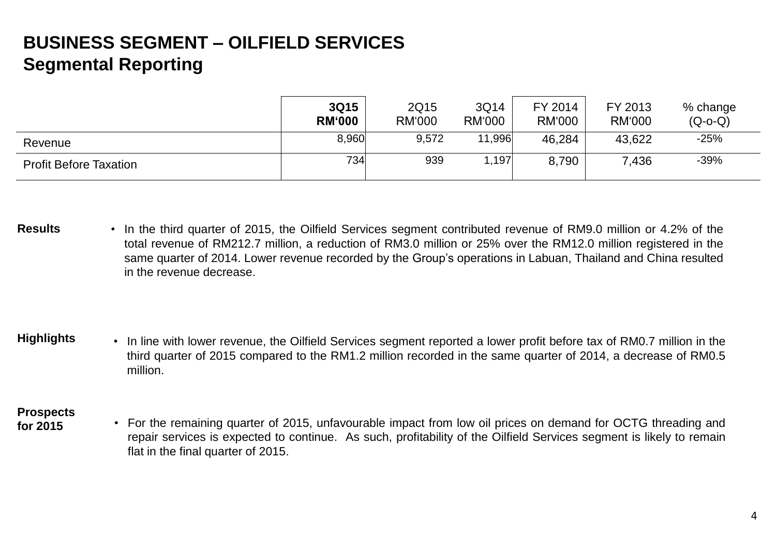# **BUSINESS SEGMENT – OILFIELD SERVICES Segmental Reporting**

|                               | 3Q15<br><b>RM'000</b> | 2Q15<br><b>RM'000</b> | 3Q14<br><b>RM'000</b> | FY 2014<br>RM'000 | FY 2013<br><b>RM'000</b> | % change<br>$(Q-O-Q)$ |
|-------------------------------|-----------------------|-----------------------|-----------------------|-------------------|--------------------------|-----------------------|
| Revenue                       | 8,960                 | 9,572                 | 11,996                | 46,284            | 43,622                   | $-25%$                |
| <b>Profit Before Taxation</b> | 734                   | 939                   | 1,197                 | 8,790             | 7,436                    | $-39%$                |

- **Results** In the third quarter of 2015, the Oilfield Services segment contributed revenue of RM9.0 million or 4.2% of the total revenue of RM212.7 million, a reduction of RM3.0 million or 25% over the RM12.0 million registered in the same quarter of 2014. Lower revenue recorded by the Group's operations in Labuan, Thailand and China resulted in the revenue decrease.
- **Highlights** In line with lower revenue, the Oilfield Services segment reported a lower profit before tax of RM0.7 million in the third quarter of 2015 compared to the RM1.2 million recorded in the same quarter of 2014, a decrease of RM0.5 million.

#### **Prospects**

**for 2015** • For the remaining quarter of 2015, unfavourable impact from low oil prices on demand for OCTG threading and repair services is expected to continue. As such, profitability of the Oilfield Services segment is likely to remain flat in the final quarter of 2015.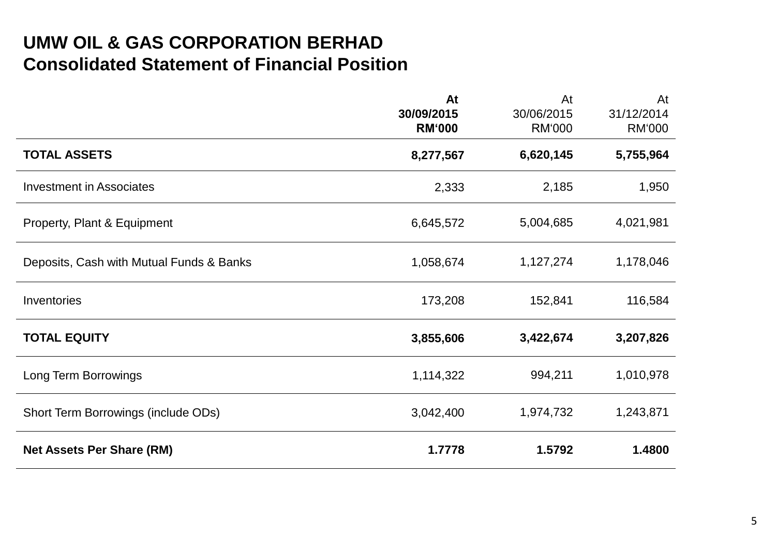## **UMW OIL & GAS CORPORATION BERHAD Investor Consolidated Statement of Financial Position**

|                                          | At<br>30/09/2015<br><b>RM'000</b> | At<br>30/06/2015<br><b>RM'000</b> | At<br>31/12/2014<br><b>RM'000</b> |
|------------------------------------------|-----------------------------------|-----------------------------------|-----------------------------------|
| <b>TOTAL ASSETS</b>                      | 8,277,567                         | 6,620,145                         | 5,755,964                         |
| <b>Investment in Associates</b>          | 2,333                             | 2,185                             | 1,950                             |
| Property, Plant & Equipment              | 6,645,572                         | 5,004,685                         | 4,021,981                         |
| Deposits, Cash with Mutual Funds & Banks | 1,058,674                         | 1,127,274                         | 1,178,046                         |
| Inventories                              | 173,208                           | 152,841                           | 116,584                           |
| <b>TOTAL EQUITY</b>                      | 3,855,606                         | 3,422,674                         | 3,207,826                         |
| Long Term Borrowings                     | 1,114,322                         | 994,211                           | 1,010,978                         |
| Short Term Borrowings (include ODs)      | 3,042,400                         | 1,974,732                         | 1,243,871                         |
| <b>Net Assets Per Share (RM)</b>         | 1.7778                            | 1.5792                            | 1.4800                            |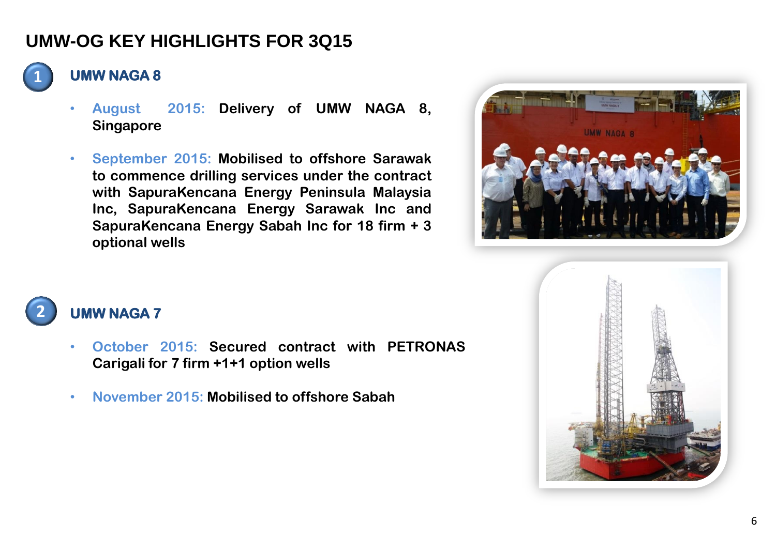# **UMW-OG KEY HIGHLIGHTS FOR 3Q15**



#### **UMW NAGA 8**

- **August 2015: Delivery of UMW NAGA 8, Singapore**
- **September 2015: Mobilised to offshore Sarawak to commence drilling services under the contract with SapuraKencana Energy Peninsula Malaysia Inc, SapuraKencana Energy Sarawak Inc and SapuraKencana Energy Sabah Inc for 18 firm + 3 optional wells**







#### **2 UMW NAGA 7**

- **October 2015: Secured contract with PETRONAS Carigali for 7 firm +1+1 option wells**
- **November 2015: Mobilised to offshore Sabah**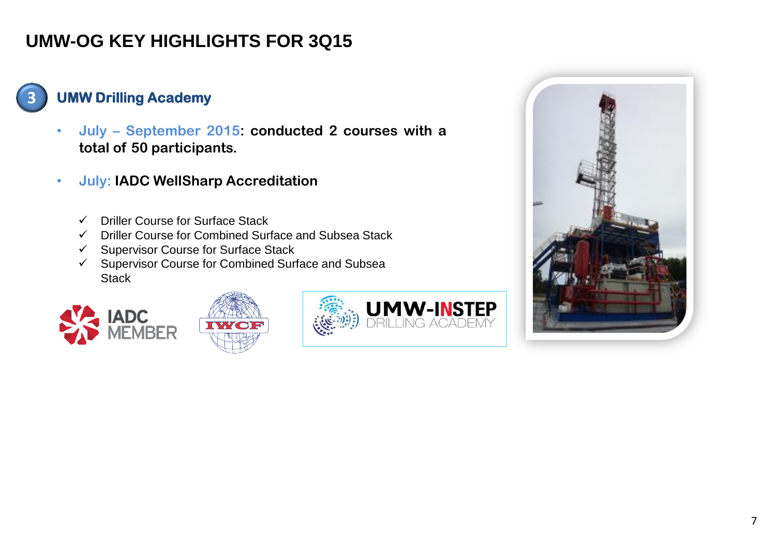# **UMW-OG KEY HIGHLIGHTS FOR 3Q15**

**UMW Drilling Academy** 

**3**

- **July – September 2015: conducted 2 courses with a total of 50 participants.**
- **July: IADC WellSharp Accreditation**
	- $\checkmark$  Driller Course for Surface Stack
	- $\checkmark$  Driller Course for Combined Surface and Subsea Stack
	- $\checkmark$  Supervisor Course for Surface Stack
	- $\checkmark$  Supervisor Course for Combined Surface and Subsea **Stack**